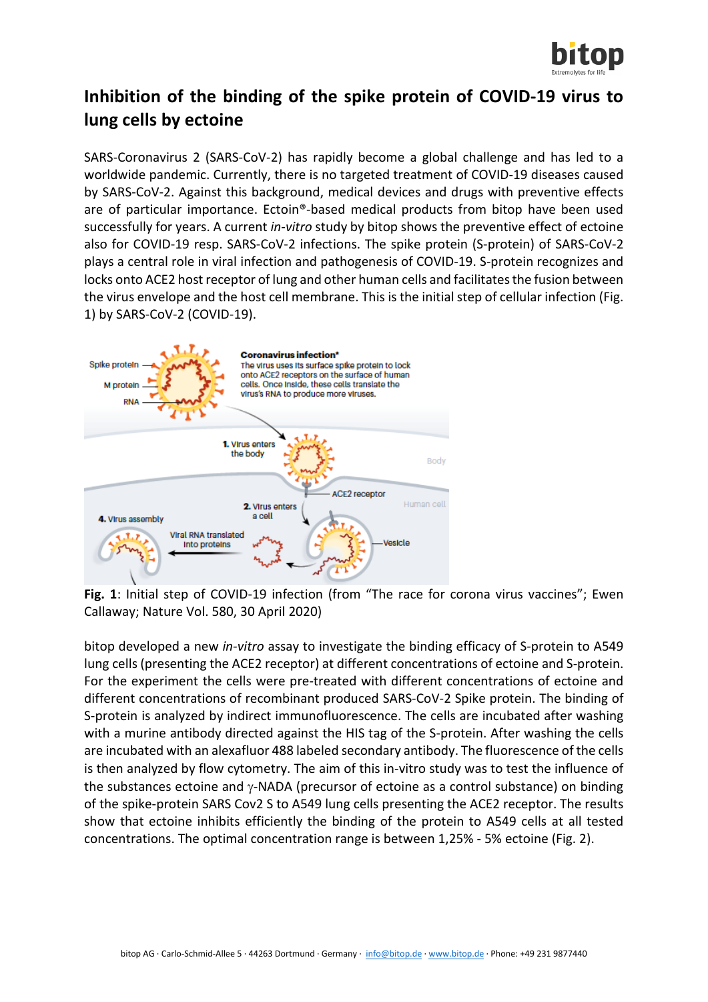

## **Inhibition of the binding of the spike protein of COVID-19 virus to lung cells by ectoine**

SARS-Coronavirus 2 (SARS-CoV-2) has rapidly become a global challenge and has led to a worldwide pandemic. Currently, there is no targeted treatment of COVID-19 diseases caused by SARS-CoV-2. Against this background, medical devices and drugs with preventive effects are of particular importance. Ectoin®-based medical products from bitop have been used successfully for years. A current *in-vitro* study by bitop shows the preventive effect of ectoine also for COVID-19 resp. SARS-CoV-2 infections. The spike protein (S-protein) of SARS-CoV-2 plays a central role in viral infection and pathogenesis of COVID-19. S-protein recognizes and locks onto ACE2 host receptor of lung and other human cells and facilitates the fusion between the virus envelope and the host cell membrane. This is the initial step of cellular infection (Fig. 1) by SARS-CoV-2 (COVID-19).



**Fig. 1**: Initial step of COVID-19 infection (from "The race for corona virus vaccines"; Ewen Callaway; Nature Vol. 580, 30 April 2020)

bitop developed a new *in-vitro* assay to investigate the binding efficacy of S-protein to A549 lung cells (presenting the ACE2 receptor) at different concentrations of ectoine and S-protein. For the experiment the cells were pre-treated with different concentrations of ectoine and different concentrations of recombinant produced SARS-CoV-2 Spike protein. The binding of S-protein is analyzed by indirect immunofluorescence. The cells are incubated after washing with a murine antibody directed against the HIS tag of the S-protein. After washing the cells are incubated with an alexafluor 488 labeled secondary antibody. The fluorescence of the cells is then analyzed by flow cytometry. The aim of this in-vitro study was to test the influence of the substances ectoine and γ-NADA (precursor of ectoine as a control substance) on binding of the spike-protein SARS Cov2 S to A549 lung cells presenting the ACE2 receptor. The results show that ectoine inhibits efficiently the binding of the protein to A549 cells at all tested concentrations. The optimal concentration range is between 1,25% - 5% ectoine (Fig. 2).